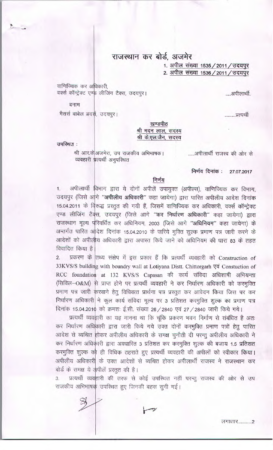## राजस्थान कर बोर्ड, अजमेर

1. अपील संख्या 1535 / 2011 / उदयपुर 2. अपील संख्या 1536 / 2011 / उदयपुर

वाणिज्यिक कर अधिकारी, वर्क्स कॉन्ट्रेक्ट एण्ड लीजिंग टैक्स, उदयपुर।

.....अपीलार्थी.

बनाम

मैसर्स वाबेल ब्रदर्स, उदयपुर।

.........प्रत्यर्थी

खण्डपीठ श्री मदन लाल, सदस्य श्री के.एल.जैन, सदस्य

उपस्थित:

श्री आर.केअजमेरा, उप राजकीय अभिभाषक। व्यवहारी प्रत्यर्थी अनुपरिथत

......अपीलार्थी राजस्व की ओर से

निर्णय दिनांक : 27.07.2017

## निर्णय

अपीलार्थी विभाग द्वारा ये दोनों अपीलें उपायुक्त (अपील्स), वाणिज्यिक कर विभाग,  $1.$ उदयपुर (जिसे आगे "अपीलीय अधिकारी" कहा जायेगा) द्वारा पारित अपीलीय आदेश दिनांक 15.04.2011 के विरूद्ध प्रस्तुत की गयी हैं, जिसमें वाणिज्यिक कर अधिकारी, वर्क्स कॉन्ट्रेक्ट एण्ड लीजिंग टैक्स, उदयपुर (जिसे आगे "कर निर्धारण अधिकारी" कहा जायेगा) द्वारा राजस्थान मूल्य परिवर्धित कर अधिनियम, 2003 (जिसे आगे "अधिनियम" कहा जायेगा) के अन्तर्गत पारित अदिश दिनांक 15.04.2010 के जरिये मुक्ति शुल्क प्रमाण पत्र जारी करने के आदेशों को अपीलीय अधिकारी द्वारा अपास्त किये जाने को अधिनियम की धारा 83 के तहत विवादित किया है

प्रकरण के तिथ्य संक्षेप में इस प्रकार हैं कि प्रत्यर्थी व्यवहारी को Construction of  $\overline{2}$ 33KVS/S building with boundry wall at Lotiyana Distt. Chittorgarh एवं Constuction of RCC foundation at 132 KVS/S Capasan की कार्य संविदा अधिशाषी अभियन्ता (सिविल-O&M) से प्राप्त होने पर प्रत्यर्थी व्यवहारी ने कर निर्धारण अधिकारी को करमुक्ति प्रमाण पत्र जारी करवाने हेतु विधिवत्त प्रार्थना पत्र प्रस्तुत कर आवेदन किया जिस पर कर निर्धारण अधिकारी ने कुल कार्य संविदा मूल्य पर 3 प्रतिशत करमुक्ति शुल्क का प्रमाण पत्र दिनांक 15.04.2010 को क्रमशः ई.सी. संख्या 26 / 2840 एवं 27 / 2840 जारी किये गये।

प्रत्यर्थी व्यवहारी का यह मानना था कि चूंकि प्रकरण भवन निर्माण से संबंधित है अतः कर निर्धारण अधिकारी द्वारा जारी किये गये उक्त दोनों करमुक्ति प्रमाण पत्रों हेतू पारित आदेश से व्यथित होकर अपीलीय अधिकारी के समक्ष चुनौती दी परन्तु अपीलीय अधिकारी ने कर निर्धारण अधिकारी द्वारा अवधारित 3 प्रतिशत कर करमुक्ति शूल्क की बजाय 1.5 प्रतिशत करमुक्ति शुल्क को ही विधिक ठहराते हुए प्रत्यर्थी व्यवहारी की अपीलों को स्वीकार किया। अपीलीय अधिकारी के उक्त आदेशों से व्यथित होकर अपीलार्थी राजस्व ने राजस्थान कर बोर्ड के समक्ष ये अपीलें प्रस्तुत की है।

प्रत्यर्थी व्यवहारी की तरफ से कोई उपस्थित नहीं परन्तु राजस्व की ओर से उप राजकीय अभिभाषक उपस्थित हुए जिनकी बहस सुनी गई।